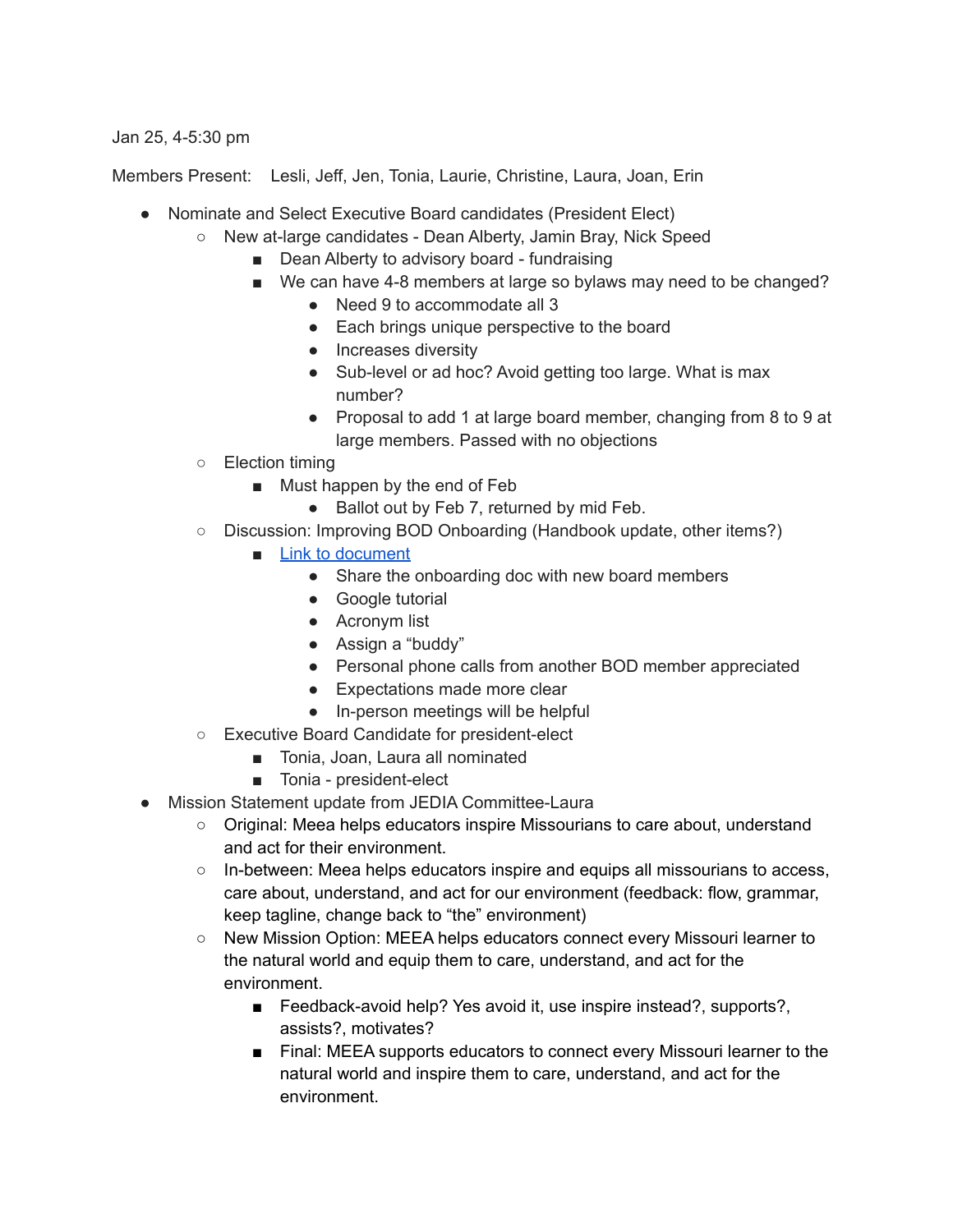## Jan 25, 4-5:30 pm

Members Present: Lesli, Jeff, Jen, Tonia, Laurie, Christine, Laura, Joan, Erin

- Nominate and Select Executive Board candidates (President Elect)
	- New at-large candidates Dean Alberty, Jamin Bray, Nick Speed
		- Dean Alberty to advisory board fundraising
		- We can have 4-8 members at large so bylaws may need to be changed?
			- Need 9 to accommodate all 3
			- Each brings unique perspective to the board
			- Increases diversity
			- Sub-level or ad hoc? Avoid getting too large. What is max number?
			- Proposal to add 1 at large board member, changing from 8 to 9 at large members. Passed with no objections
	- Election timing
		- Must happen by the end of Feb
			- Ballot out by Feb 7, returned by mid Feb.
	- Discussion: Improving BOD Onboarding (Handbook update, other items?)
		- [Link to document](https://docs.google.com/document/d/1XOgjfIIXxtbmQ5Lq7nlgSsUMss5J7g9m8noa21wBmpc/edit?usp=sharing)
			- Share the onboarding doc with new board members
			- Google tutorial
			- Acronym list
			- Assign a "buddy"
			- Personal phone calls from another BOD member appreciated
			- Expectations made more clear
			- In-person meetings will be helpful
	- Executive Board Candidate for president-elect
		- Tonia, Joan, Laura all nominated
		- Tonia president-elect
- Mission Statement update from JEDIA Committee-Laura
	- Original: Meea helps educators inspire Missourians to care about, understand and act for their environment.
	- In-between: Meea helps educators inspire and equips all missourians to access, care about, understand, and act for our environment (feedback: flow, grammar, keep tagline, change back to "the" environment)
	- New Mission Option: MEEA helps educators connect every Missouri learner to the natural world and equip them to care, understand, and act for the environment.
		- Feedback-avoid help? Yes avoid it, use inspire instead?, supports?, assists?, motivates?
		- Final: MEEA supports educators to connect every Missouri learner to the natural world and inspire them to care, understand, and act for the environment.